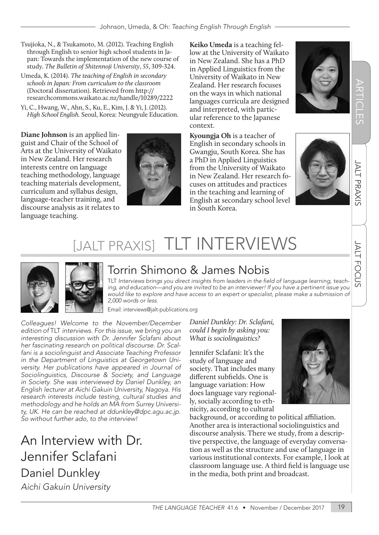- Tsujioka, N., & Tsukamoto, M. (2012). Teaching English through English to senior high school students in Japan: Towards the implementation of the new course of study. *The Bulletin of Shitennoji University*, *55*, 309-324.
- Umeda, K. (2014). *The teaching of English in secondary schools in Japan: From curriculum to the classroom*  (Doctoral dissertation). Retrieved from http:// researchcommons.waikato.ac.nz/handle/10289/2222
- Yi, C., Hwang, W., Ahn, S., Ku, E., Kim, J. & Yi, J. (2012). *High School English.* Seoul, Korea: Neungyule Education.

**Diane Johnson** is an applied linguist and Chair of the School of Arts at the University of Waikato in New Zealand. Her research interests centre on language teaching methodology, language teaching materials development, curriculum and syllabus design, language-teacher training, and discourse analysis as it relates to language teaching.



**Keiko Umeda** is a teaching fellow at the University of Waikato in New Zealand. She has a PhD in Applied Linguistics from the University of Waikato in New Zealand. Her research focuses on the ways in which national languages curricula are designed and interpreted, with particular reference to the Japanese context.

**Kyoungja Oh** is a teacher of English in secondary schools in Gwangju, South Korea. She has a PhD in Applied Linguistics from the University of Waikato in New Zealand. Her research focuses on attitudes and practices in the teaching and learning of English at secondary school level in South Korea.





# JALT FOCUS JALT PRAXIS ARTICLES **JALT PRAXIS**

**JALT FOCUS** 

# [JALT PRAXIS] TLT INTERVIEWS



# Torrin Shimono & James Nobis

TLT Interviews brings you direct insights from leaders in the field of language learning, teach*ing, and education—and you are invited to be an interviewer! If you have a pertinent issue you would like to explore and have access to an expert or specialist, please make a submission of 2,000 words or less.* 

Email: interviews@jalt-publications.org

*Colleagues! Welcome to the November/December edition of* TLT *interviews. For this issue, we bring you an interesting discussion with Dr. Jennifer Sclafani about her fascinating research on political discourse. Dr. Scalfani is a sociolinguist and Associate Teaching Professor in the Department of Linguistics at Georgetown University. Her publications have appeared in Journal of Sociolinguistics, Discourse & Society, and Language in Society. She was interviewed by Daniel Dunkley, an English lecturer at Aichi Gakuin University, Nagoya. His research interests include testing, cultural studies and methodology and he holds an MA from Surrey University, UK. He can be reached at ddunkley@dpc.agu.ac.jp. So without further ado, to the interview!*

An Interview with Dr. Jennifer Sclafani Daniel Dunkley *Aichi Gakuin University* 

*Daniel Dunkley: Dr. Sclafani, could I begin by asking you: What is sociolinguistics?*

Jennifer Sclafani: It's the study of language and society. That includes many different subfields. One is language variation: How does language vary regionally, socially according to ethnicity, according to cultural



background, or according to political affiliation. Another area is interactional sociolinguistics and discourse analysis. There we study, from a descriptive perspective, the language of everyday conversation as well as the structure and use of language in various institutional contexts. For example, I look at classroom language use. A third field is language use in the media, both print and broadcast.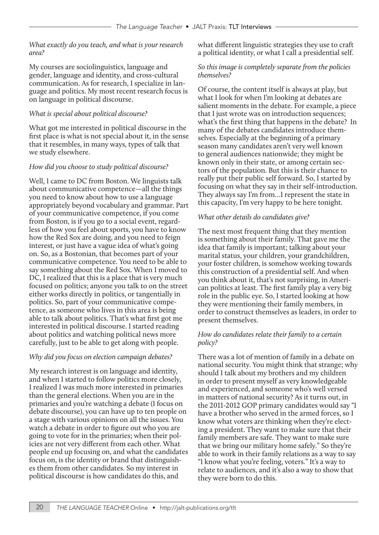### *What exactly do you teach, and what is your research area?*

My courses are sociolinguistics, language and gender, language and identity, and cross-cultural communication. As for research, I specialize in language and politics. My most recent research focus is on language in political discourse.

### *What is special about political discourse?*

What got me interested in political discourse in the first place is what is not special about it, in the sense that it resembles, in many ways, types of talk that we study elsewhere.

### *How did you choose to study political discourse?*

Well, I came to DC from Boston. We linguists talk about communicative competence—all the things you need to know about how to use a language appropriately beyond vocabulary and grammar. Part of your communicative competence, if you come from Boston, is if you go to a social event, regardless of how you feel about sports, you have to know how the Red Sox are doing, and you need to feign interest, or just have a vague idea of what's going on. So, as a Bostonian, that becomes part of your communicative competence. You need to be able to say something about the Red Sox. When I moved to DC, I realized that this is a place that is very much focused on politics; anyone you talk to on the street either works directly in politics, or tangentially in politics. So, part of your communicative competence, as someone who lives in this area is being able to talk about politics. That's what first got me interested in political discourse. I started reading about politics and watching political news more carefully, just to be able to get along with people.

### *Why did you focus on election campaign debates?*

My research interest is on language and identity, and when I started to follow politics more closely, I realized I was much more interested in primaries than the general elections. When you are in the primaries and you're watching a debate (I focus on debate discourse), you can have up to ten people on a stage with various opinions on all the issues. You watch a debate in order to figure out who you are going to vote for in the primaries; when their policies are not very different from each other. What people end up focusing on, and what the candidates focus on, is the identity or brand that distinguishes them from other candidates. So my interest in political discourse is how candidates do this, and

what different linguistic strategies they use to craft a political identity, or what I call a presidential self.

### *So this image is completely separate from the policies themselves?*

Of course, the content itself is always at play, but what I look for when I'm looking at debates are salient moments in the debate. For example, a piece that I just wrote was on introduction sequences; what's the first thing that happens in the debate? In many of the debates candidates introduce themselves. Especially at the beginning of a primary season many candidates aren't very well known to general audiences nationwide; they might be known only in their state, or among certain sectors of the population. But this is their chance to really put their public self forward. So, I started by focusing on what they say in their self-introduction. They always say I'm from…I represent the state in this capacity, I'm very happy to be here tonight.

### *What other details do candidates give?*

The next most frequent thing that they mention is something about their family. That gave me the idea that family is important; talking about your marital status, your children, your grandchildren, your foster children, is somehow working towards this construction of a presidential self. And when you think about it, that's not surprising, in American politics at least. The first family play a very big role in the public eye. So, I started looking at how they were mentioning their family members, in order to construct themselves as leaders, in order to present themselves.

### *How do candidates relate their family to a certain policy?*

There was a lot of mention of family in a debate on national security. You might think that strange; why should I talk about my brothers and my children in order to present myself as very knowledgeable and experienced, and someone who's well versed in matters of national security? As it turns out, in the 2011-2012 GOP primary candidates would say "I have a brother who served in the armed forces, so I know what voters are thinking when they're electing a president. They want to make sure that their family members are safe. They want to make sure that we bring our military home safely." So they're able to work in their family relations as a way to say "I know what you're feeling, voters." It's a way to relate to audiences, and it's also a way to show that they were born to do this.